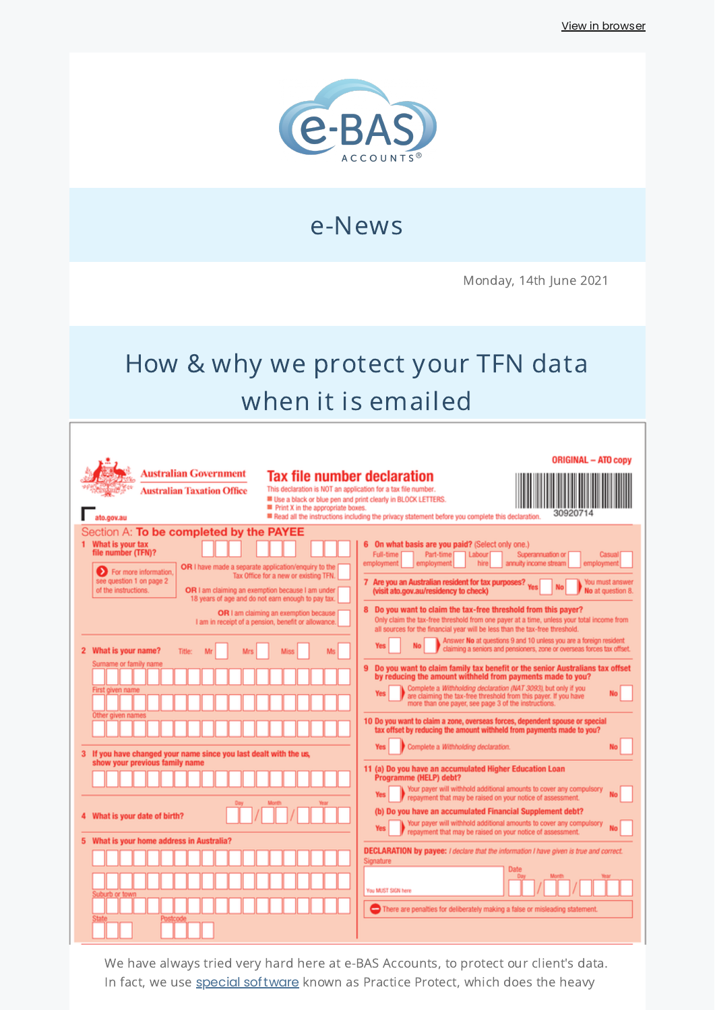

e-News

Monday, 14th June 2021

# How & why we protect your TFN data when it is emailed

| Australian Government<br><b>Tax file number declaration</b><br>This declaration is NOT an application for a tax file number.<br><b>Australian Taxation Office</b><br>Use a black or blue pen and print clearly in BLOCK LETTERS.<br>Print X in the appropriate boxes.<br>ato.cov.au                                                                                                                                                                                                                                                                                                                                                                                                                                                                                        | <b>ORIGINAL - ATO copy</b><br>30920714<br>Read all the instructions including the privacy statement before you complete this declaration.                                                                                                                                                                                                                                                                                                                                                                                                                                                                                                                                                                                                                                                                                                                                                                                                                                                                                                                                                                                                                                                                                                                                                                                                                                                                                                                                                                                                                                                                                                                                                                                                                                                                                                                                                 |
|----------------------------------------------------------------------------------------------------------------------------------------------------------------------------------------------------------------------------------------------------------------------------------------------------------------------------------------------------------------------------------------------------------------------------------------------------------------------------------------------------------------------------------------------------------------------------------------------------------------------------------------------------------------------------------------------------------------------------------------------------------------------------|-------------------------------------------------------------------------------------------------------------------------------------------------------------------------------------------------------------------------------------------------------------------------------------------------------------------------------------------------------------------------------------------------------------------------------------------------------------------------------------------------------------------------------------------------------------------------------------------------------------------------------------------------------------------------------------------------------------------------------------------------------------------------------------------------------------------------------------------------------------------------------------------------------------------------------------------------------------------------------------------------------------------------------------------------------------------------------------------------------------------------------------------------------------------------------------------------------------------------------------------------------------------------------------------------------------------------------------------------------------------------------------------------------------------------------------------------------------------------------------------------------------------------------------------------------------------------------------------------------------------------------------------------------------------------------------------------------------------------------------------------------------------------------------------------------------------------------------------------------------------------------------------|
| Section A: To be completed by the PAYEE<br>1 What is your tax<br>file number (TFN)?<br>OR I have made a separate application/enquiry to the<br>For more information,<br>Tax Office for a new or existing TFN.<br>see question 1 on page 2<br>of the instructions.<br>OR I am claiming an exemption because I am under<br>18 years of age and do not earn enough to pay tax.<br>OR I am claiming an exemption because<br>I am in receipt of a pension, benefit or allowance.<br>2 What is your name?<br>Title:<br>Ms<br>Surname or family name<br>First given name<br>Other given name<br>If you have changed your name since you last dealt with the us,<br>з.<br>show your previous family name<br>What is your date of birth?<br>What is your home address in Australia? | On what basis are you paid? (Select only one.)<br>Full-time<br>Labour<br>Superannuation or<br>Part-time [<br>Casual<br>hire<br>annuity income stream<br>employment<br>employment<br>employment<br>7 Are you an Australian resident for tax purposes? Yes<br>You must answer<br><b>No</b><br>(visit ato.gov.au/residency to check)<br>No at question 8.<br>8 Do you want to claim the tax-free threshold from this payer?<br>Only claim the tax-free threshold from one payer at a time, unless your total income from<br>all sources for the financial year will be less than the tax-free threshold.<br>Answer No at questions 9 and 10 unless you are a foreign resident<br>claiming a seniors and pensioners, zone or overseas forces tax offset.<br>Do you want to claim family tax benefit or the senior Australians tax offset<br>9<br>by reducing the amount withheld from payments made to you?<br>Complete a Withholding declaration (NAT 3093), but only if you<br><b>Yes</b><br>are claiming the tax-free threshold from this payer. If you have<br>more than one payer, see page 3 of the instructions.<br>10 Do you want to claim a zone, overseas forces, dependent spouse or special<br>tax offset by reducing the amount withheld from payments made to you?<br>Complete a Withholding declaration.<br><b>Yes</b><br>11 (a) Do you have an accumulated Higher Education Loan<br>Programme (HELP) debt?<br>Your payer will withhold additional amounts to cover any compulsory<br>repayment that may be raised on your notice of assessment.<br>(b) Do you have an accumulated Financial Supplement debt?<br>Your payer will withhold additional amounts to cover any compulsory<br><b>Yes</b><br>repayment that may be raised on your notice of assessment.<br><b>DECLARATION by payee:</b> I declare that the information I have given is true and correct.<br>Signature |
| Suburb or town                                                                                                                                                                                                                                                                                                                                                                                                                                                                                                                                                                                                                                                                                                                                                             | Date<br>You MUST SIGN here<br>There are penalties for deliberately making a false or misleading statement.                                                                                                                                                                                                                                                                                                                                                                                                                                                                                                                                                                                                                                                                                                                                                                                                                                                                                                                                                                                                                                                                                                                                                                                                                                                                                                                                                                                                                                                                                                                                                                                                                                                                                                                                                                                |

We have always tried very hard here at e-BAS Accounts, to protect our client's data. In fact, we use **special [software](https://www.e-bas.com.au/practice-protect/)** known as Practice Protect, which does the heavy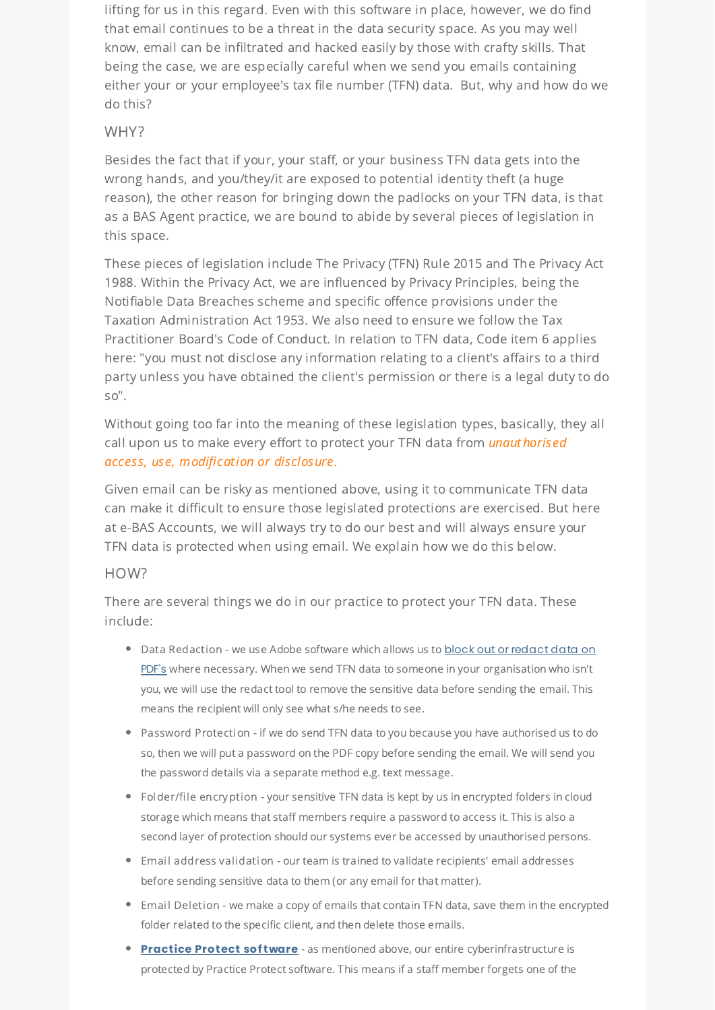lifting for us in this regard. Even with this software in place, however, we do find that email continues to be a threat in the data security space. As you may well know, email can be infiltrated and hacked easily by those with crafty skills. That being the case, we are especially careful when we send you emails containing either your or your employee's tax file number (TFN) data. But, why and how do we do this?

#### WHY?

Besides the fact that if your, your staff, or your business TFN data gets into the wrong hands, and you/they/it are exposed to potential identity theft (a huge reason), the other reason for bringing down the padlocks on your TFN data, is that as a BAS Agent practice, we are bound to abide by several pieces of legislation in this space.

These pieces of legislation include The Privacy (TFN) Rule 2015 and The Privacy Act 1988. Within the Privacy Act, we are influenced by Privacy Principles, being the Notifiable Data Breaches scheme and specific offence provisions under the Taxation Administration Act 1953. We also need to ensure we follow the Tax Practitioner Board's Code of Conduct. In relation to TFN data, Code item 6 applies here: "you must not disclose any information relating to a client's affairs to a third party unless you have obtained the client's permission or there is a legal duty to do so".

Without going too far into the meaning of these legislation types, basically, they all call upon us to make every effort to protect your TFN data from *unauthorised* access, use, modification or disclosure.

Given email can be risky as mentioned above, using it to communicate TFN data can make it difficult to ensure those legislated protections are exercised. But here at e-BAS Accounts, we will always try to do our best and will always ensure your TFN data is protected when using email. We explain how we do this below.

#### HOW?

There are several things we do in our practice to protect your TFN data. These include:

- Data Redaction we use Adobe software which allows us to block out or redact data on PDF's where necessary. When we send TFN data to someone in your [organisation](https://adobe.ly/3etId1y) who isn't you, we will use the redact tool to remove the sensitive data before sending the email. This means the recipient will only see what s/he needs to see.
- Password Protection if we do send TFN data to you because you have authorised us to do so, then we will put a password on the PDF copy before sending the email. We will send you the password details via a separate method e.g. text message.
- Folder/file encryption your sensitive TFN data is kept by us in encrypted folders in cloud storage which means that staff members require a password to access it. This is also a second layer of protection should our systems ever be accessed by unauthorised persons.
- Email address validation our team is trained to validate recipients' email addresses before sending sensitive data to them (or any email for that matter).
- Email Deletion we make a copy of emails that contain TFN data, save them in the encrypted folder related to the specific client, and then delete those emails.
- **[Practice](https://practiceprotect.com/) Protect software** as mentioned above, our entire cyberinfrastructure is protected by Practice Protect software. This means if a staff member forgets one of the